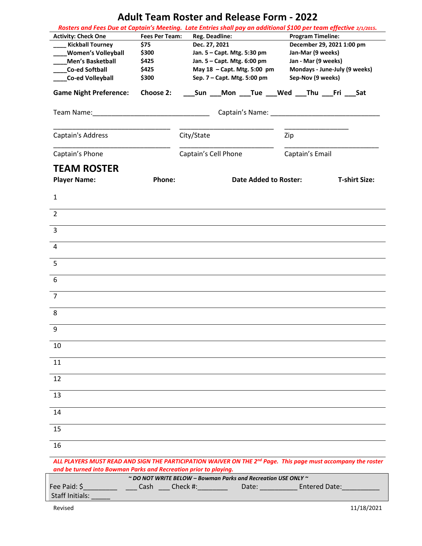| <b>Adult Team Roster and Release Form - 2022</b>                                                                         |                |                                                  |                             |                              |     |                               |  |                      |
|--------------------------------------------------------------------------------------------------------------------------|----------------|--------------------------------------------------|-----------------------------|------------------------------|-----|-------------------------------|--|----------------------|
| Rosters and Fees Due at Captain's Meeting. Late Entries shall pay an additional \$100 per team effective 2/1/2015.       |                |                                                  |                             |                              |     |                               |  |                      |
| <b>Activity: Check One</b>                                                                                               | Fees Per Team: | <b>Reg. Deadline:</b>                            |                             |                              |     | <b>Program Timeline:</b>      |  |                      |
| <b>Kickball Tourney</b>                                                                                                  | \$75           | Dec. 27, 2021                                    |                             |                              |     | December 29, 2021 1:00 pm     |  |                      |
| <b>Women's Volleyball</b>                                                                                                | \$300          |                                                  | Jan. 5 - Capt. Mtg. 5:30 pm |                              |     | Jan-Mar (9 weeks)             |  |                      |
| <b>Men's Basketball</b>                                                                                                  | \$425          |                                                  | Jan. 5 - Capt. Mtg. 6:00 pm |                              |     | Jan - Mar (9 weeks)           |  |                      |
| <b>Co-ed Softball</b>                                                                                                    | \$425          |                                                  |                             | May 18 - Capt. Mtg. 5:00 pm  |     | Mondays - June-July (9 weeks) |  |                      |
| Co-ed Volleyball                                                                                                         | \$300          |                                                  | Sep. 7 - Capt. Mtg. 5:00 pm |                              |     | Sep-Nov (9 weeks)             |  |                      |
| <b>Game Night Preference:</b>                                                                                            | Choose 2:      | ___Sun ___Mon ___Tue ___Wed ___Thu ___Fri ___Sat |                             |                              |     |                               |  |                      |
|                                                                                                                          |                |                                                  |                             |                              |     |                               |  |                      |
| Captain's Address                                                                                                        |                | City/State                                       |                             |                              | Zip |                               |  |                      |
| Captain's Phone                                                                                                          |                | Captain's Cell Phone                             |                             |                              |     | Captain's Email               |  |                      |
| <b>TEAM ROSTER</b>                                                                                                       |                |                                                  |                             |                              |     |                               |  |                      |
| <b>Player Name:</b>                                                                                                      | Phone:         |                                                  |                             | <b>Date Added to Roster:</b> |     |                               |  | <b>T-shirt Size:</b> |
| $\mathbf{1}$                                                                                                             |                |                                                  |                             |                              |     |                               |  |                      |
| $\overline{2}$                                                                                                           |                |                                                  |                             |                              |     |                               |  |                      |
| 3                                                                                                                        |                |                                                  |                             |                              |     |                               |  |                      |
| 4                                                                                                                        |                |                                                  |                             |                              |     |                               |  |                      |
| 5                                                                                                                        |                |                                                  |                             |                              |     |                               |  |                      |
| 6                                                                                                                        |                |                                                  |                             |                              |     |                               |  |                      |
| $\overline{7}$                                                                                                           |                |                                                  |                             |                              |     |                               |  |                      |
| 8                                                                                                                        |                |                                                  |                             |                              |     |                               |  |                      |
| 9                                                                                                                        |                |                                                  |                             |                              |     |                               |  |                      |
| 10                                                                                                                       |                |                                                  |                             |                              |     |                               |  |                      |
| 11                                                                                                                       |                |                                                  |                             |                              |     |                               |  |                      |
| 12                                                                                                                       |                |                                                  |                             |                              |     |                               |  |                      |
| 13                                                                                                                       |                |                                                  |                             |                              |     |                               |  |                      |
| 14                                                                                                                       |                |                                                  |                             |                              |     |                               |  |                      |
| 15                                                                                                                       |                |                                                  |                             |                              |     |                               |  |                      |
| 16                                                                                                                       |                |                                                  |                             |                              |     |                               |  |                      |
| ALL PLAYERS MUST READ AND SIGN THE PARTICIPATION WAIVER ON THE 2 <sup>nd</sup> Page. This page must accompany the roster |                |                                                  |                             |                              |     |                               |  |                      |

## *ALL PLAYERS MUST READ AND SIGN THE PARTICIPATION WAIVER ON THE 2nd Page. This page must accompany the roster and be turned into Bowman Parks and Recreation prior to playing. ~ DO NOT WRITE BELOW – Bowman Parks and Recreation USE ONLY ~*

| $\sim$ DO NOT WRITE BELOW – BOWMAN PARS and Recreation OSE ONLY $\sim$ |      |          |       |                      |  |  |  |  |
|------------------------------------------------------------------------|------|----------|-------|----------------------|--|--|--|--|
| Fee Paid: \$                                                           | Cash | Check #: | Date: | <b>Entered Date:</b> |  |  |  |  |
| <b>Staff Initials:</b>                                                 |      |          |       |                      |  |  |  |  |
|                                                                        |      |          |       |                      |  |  |  |  |